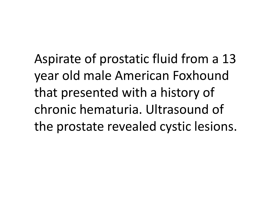Aspirate of prostatic fluid from <sup>a</sup> 13 year old male American Foxhound that presented with <sup>a</sup> history of chronic hematuria. Ultrasound of the prostate revealed cystic lesions.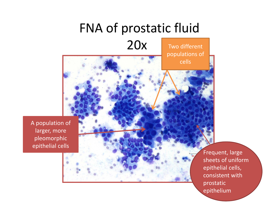# FNA of prostatic fluid

#### 20x

Two different

populations of

cells

A population of larger, more pleomorphic epithelial cells

Frequent, large sheets of uniform epithelial cells, consistent withprostatic epithelium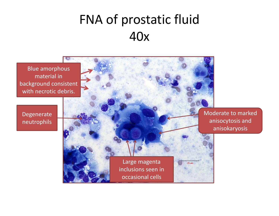### FNA of prostatic fluid 40x

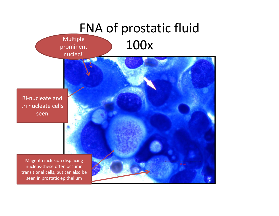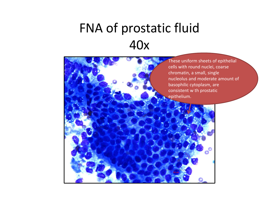## FNA of prostatic fluid 40x

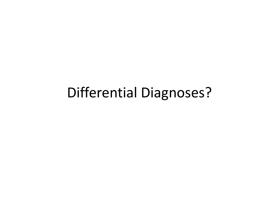## Differential Diagnoses?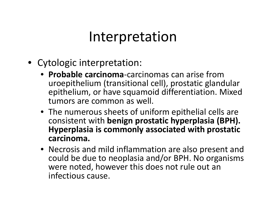#### Interpretation

- Cytologic interpretation:
	- **Probable carcinoma**‐carcinomas can arise fromuroepithelium (transitional cell), prostatic glandular epithelium, or have squamoid differentiation. Mixed tumors are common as well.
	- The numerous sheets of uniform epithelial cells are consistent with **benign prostatic hyperplasia (BPH). Hyperplasia is commonly associated with prostatic carcinoma.**
	- Necrosis and mild inflammation are also present and could be due to neoplasia and/or BPH. No organisms were noted, however this does not rule out an infectious cause.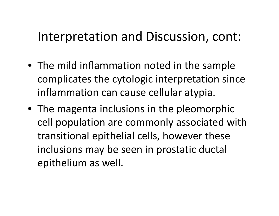#### Interpretation and Discussion, cont:

- The mild inflammation noted in the sample complicates the cytologic interpretation since inflammation can cause cellular atypia.
- The magenta inclusions in the pleomorphic cell population are commonly associated with transitional epithelial cells, however these inclusions may be seen in prostatic ductal epithelium as well.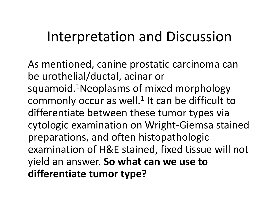## Interpretation and Discussion

As mentioned, canine prostatic carcinoma can be urothelial/ductal, acinar or squamoid.<sup>1</sup>Neoplasms of mixed morphology commonly occur as well. $1$  It can be difficult to differentiate between these tumor types via cytologic examination on Wright‐Giemsa stained preparations, and often histopathologic examination of H&E stained, fixed tissue will not yield an answer. **So what can we use to differentiate tumor type?**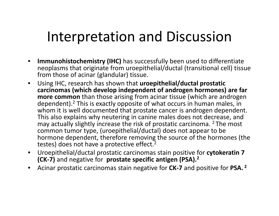# Interpretation and Discussion

- $\bullet$  **Immunohistochemistry (IHC)** has successfully been used to differentiate neoplasms that originate from uroepithelial/ductal (transitional cell) tissue from those of acinar (glandular) tissue.
- $\bullet$  Using IHC, research has shown that **uroepithelial/ductal prostatic carcinomas (which develop independent of androgen hormones) are far more common** than those arising from acinar tissue (which are androgen dependent).2 This is exactly opposite of what occurs in human males, in whom it is well documented that prostate cancer is androgen dependent. This also explains why neutering in canine males does not decrease, and may actually slightly increase the risk of prostatic carcinoma. <sup>2</sup> The most common tumor type, (uroepithelial/ductal) does not appear to be hormone dependent, therefore removing the source of the hormones (the testes) does not have a protective effect.<sup>2</sup>
- $\bullet$  Uroepithelial/ductal prostatic carcinomas stain positive for **cytokeratin 7 (CK‐7)** and negative for **prostate specific antigen (PSA).2**
- •Acinar prostatic carcinomas stain negative for **CK‐<sup>7</sup>** and positive for **PSA. <sup>2</sup>**